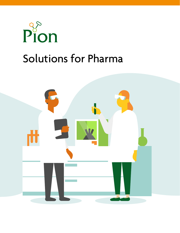

# Solutions for Pharma

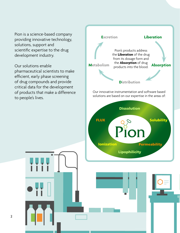Pion is a science-based company providing innovative technology, solutions, support and scientific expertise to the drug development industry.

Our solutions enable pharmaceutical scientists to make efficient, early phase screening of drug compounds and provide critical data for the development of products that make a difference to people's lives.

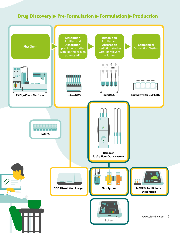#### **Drug Discovery > Pre-Formulation > Formulation > Production**

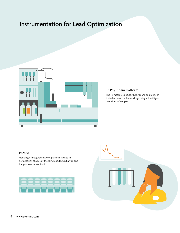## Instrumentation for Lead Optimization



#### T3 PhysChem Platform

The T3 measures pKa, log P, log D and solubility of ionizable, small molecule drugs using sub-milligram quantities of sample.

#### PAMPA

Pion's high throughput PAMPA platform is used in permeability studies of the skin, blood brain barrier, and the gastrointestinal tract.



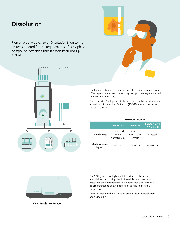### Dissolution

Pion offers a wide range of Dissolution Monitoring systems tailored for the requirements of early phase compound screening through manufacturing QC testing.





The Rainbow Dynamic Dissolution Monitor is an *in-situ* fiber optic UV-vis spectrometer and the industry best practice to generate real time concentration data.

Equipped with 8 independent fiber optic channels it provides data acquisition of the entire UV Spectra (200-720 nm) at intervals as fast as 2 seconds.

|                          | <b>Dissolution Monitors</b>                    |                                     |                                      |  |  |  |  |
|--------------------------|------------------------------------------------|-------------------------------------|--------------------------------------|--|--|--|--|
|                          | microDISS                                      | miniDISS                            | <b>Rainbow with</b><br>USP I/II bath |  |  |  |  |
| Size of vessel           | 12 mm and<br>$25 \text{ mm}$<br>diameter vials | 100, 150,<br>200, 250 mL<br>vessels | 1L vessel                            |  |  |  |  |
| Media volume,<br>typical | $1-22$ mL                                      | 40-200 mL                           | 400-900 ml                           |  |  |  |  |



**SDi2 Dissolution Imager**

The SDi2 generates a high-resolution video of the surface of a solid dose form during dissolution while simultaneously measuring the concentration. Dissolution media changes can be programmed to allow modeling of gastric to intestinal transitions.

The SDi2 provides the dissolution profile, intrinsic dissolution and a video file.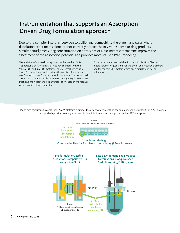### Instrumentation that supports an Absorption Driven Drug Formulation approach

Due to the complex interplay between solubility and permeability there are many cases where dissolution experiments alone cannot correctly predict the in vivo response to drug products. Simultaneously measuring concentration on both sides of a bio-mimetic membrane improves the assessment of the absorption potential and provides more realistic IVIVC modeling.

The addition of a stirred absorption chamber to the USP I/ II apparatus that functions as a 'receiver' chamber with the MacroFLUX and BioFLUX systems. The USP vessel serves as a "donor" compartment and provides the media volume needed to test finished dosage forms under sink conditions. The donor media is selected to mimic the absorption site along the gastrointestinal tract, and the Acceptor Sink Buffer (pH of 7.4) used in the receiver vessel mimics blood chemistry.

FLUX systems are also available for the microDISS Profiler using media volumes of just 15 mL for the donor and receiver chambers and for the miniDISS system which has a biorelevant 250 mL volume vessel.

Pion's high throughput Double Sink PAMPA platform examines the effect of excipients on the solubility and permeability of APIs in a single assay which provides an early assessment of excipient influenced and pH dependent GIT absorption.

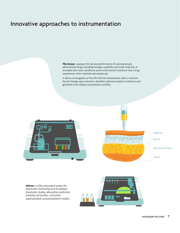### Innovative approaches to instrumentation

**The Scissor** assesses the risk and performance of subcutaneously administered drugs including biologics, peptides and small molecule. It simulates the stress conditions and environmental transitions that a drug experiences when injected subcutaneously.

It allows investigation of the API with the extracellular matrix, monitors the pH change upon injection, identifies optimal excipient conditions and generates time-release concentration profiles.





**inForm** is a fully automated system for dissolution monitoring such as biphasic dissolution studies, absorption prediction, solubility-pH profiles, controlled supersaturation and precipitation studies.